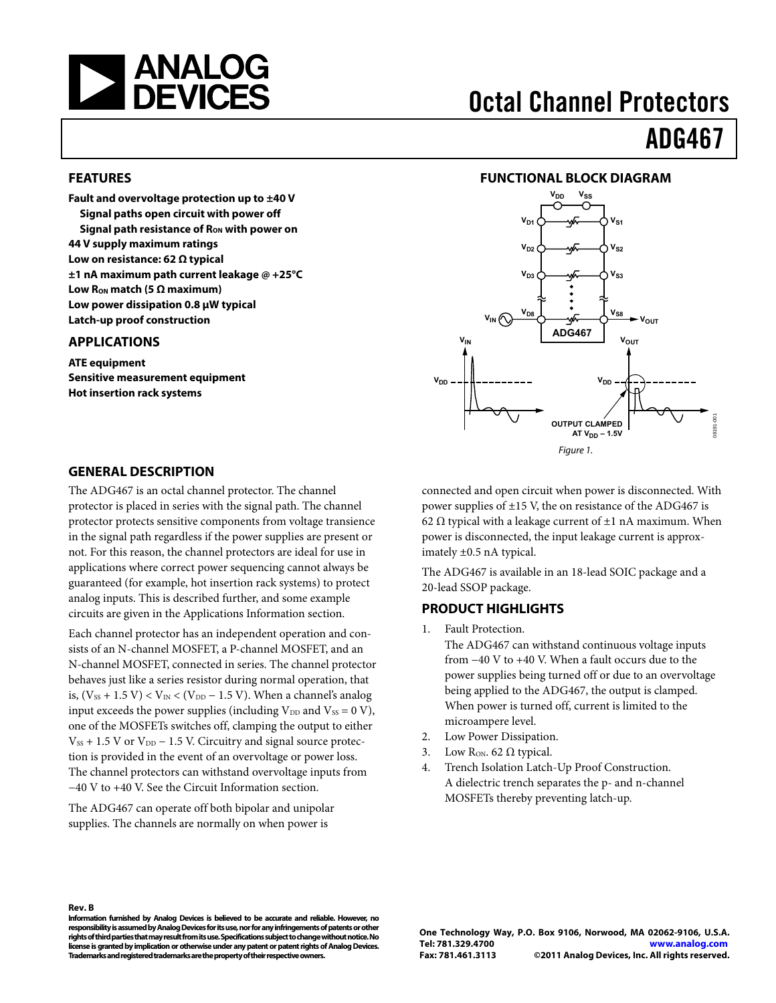<span id="page-0-0"></span>

#### **FEATURES**

**Fault and overvoltage protection up to ±40 V Signal paths open circuit with power off Signal path resistance of Ron with power on 44 V supply maximum ratings Low on resistance: 62 Ω typical ±1 nA maximum path current leakage @ +25°C**  Low  $R<sub>ON</sub>$  match (5 Ω maximum) **Low power dissipation 0.8 μW typical Latch-up proof construction** 

#### **APPLICATIONS**

**ATE equipment Sensitive measurement equipment Hot insertion rack systems** 

# Octal Channel Protectors

# ADG467

#### **FUNCTIONAL BLOCK DIAGRAM**



#### **GENERAL DESCRIPTION**

The ADG467 is an octal channel protector. The channel protector is placed in series with the signal path. The channel protector protects sensitive components from voltage transience in the signal path regardless if the power supplies are present or not. For this reason, the channel protectors are ideal for use in applications where correct power sequencing cannot always be guaranteed (for example, hot insertion rack systems) to protect analog inputs. This is described further, and some example circuits are given in the [Applications Information](#page-11-0) section.

Each channel protector has an independent operation and consists of an N-channel MOSFET, a P-channel MOSFET, and an N-channel MOSFET, connected in series. The channel protector behaves just like a series resistor during normal operation, that is,  $(V_{SS} + 1.5 V) < V_{IN} < (V_{DD} - 1.5 V)$ . When a channel's analog input exceeds the power supplies (including  $V_{DD}$  and  $V_{SS} = 0 V$ ), one of the MOSFETs switches off, clamping the output to either  $V_{SS}$  + 1.5 V or  $V_{DD}$  – 1.5 V. Circuitry and signal source protection is provided in the event of an overvoltage or power loss. The channel protectors can withstand overvoltage inputs from −40 V to +40 V. See the [Circuit Information](#page-8-0) section.

The ADG467 can operate off both bipolar and unipolar supplies. The channels are normally on when power is

connected and open circuit when power is disconnected. With power supplies of ±15 V, the on resistance of the ADG467 is 62  $\Omega$  typical with a leakage current of  $\pm 1$  nA maximum. When power is disconnected, the input leakage current is approximately ±0.5 nA typical.

The ADG467 is available in an 18-lead SOIC package and a 20-lead SSOP package.

#### **PRODUCT HIGHLIGHTS**

1. Fault Protection.

The ADG467 can withstand continuous voltage inputs from −40 V to +40 V. When a fault occurs due to the power supplies being turned off or due to an overvoltage being applied to the ADG467, the output is clamped. When power is turned off, current is limited to the microampere level.

- 2. Low Power Dissipation.
- 3. Low R<sub>ON</sub>. 62  $\Omega$  typical.
- 4. Trench Isolation Latch-Up Proof Construction. A dielectric trench separates the p- and n-channel MOSFETs thereby preventing latch-up.

#### **Rev. B**

**Information furnished by Analog Devices is believed to be accurate and reliable. However, no responsibility is assumed by Analog Devices for its use, nor for any infringements of patents or other rights of third parties that may result from its use. Specifications subject to change without notice. No license is granted by implication or otherwise under any patent or patent rights of Analog Devices. Trademarks and registered trademarks are the property of their respective owners.**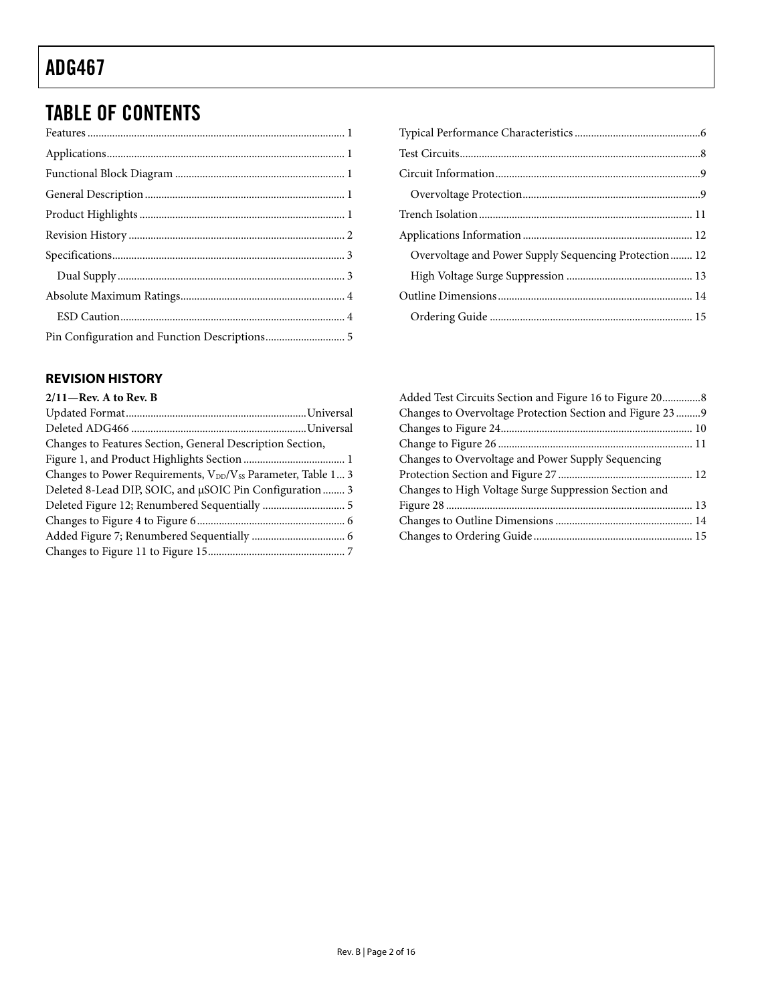# <span id="page-1-0"></span>TABLE OF CONTENTS

#### **REVISION HISTORY**

### **2/11—Rev. A to Rev. B**

| $\frac{2}{11}$ and $\frac{1}{11}$ to here $\frac{1}{11}$                             |  |
|--------------------------------------------------------------------------------------|--|
|                                                                                      |  |
|                                                                                      |  |
| Changes to Features Section, General Description Section,                            |  |
|                                                                                      |  |
| Changes to Power Requirements, V <sub>DD</sub> /V <sub>SS</sub> Parameter, Table 1 3 |  |
| Deleted 8-Lead DIP, SOIC, and µSOIC Pin Configuration  3                             |  |
|                                                                                      |  |
|                                                                                      |  |
|                                                                                      |  |
|                                                                                      |  |
|                                                                                      |  |

| Overvoltage and Power Supply Sequencing Protection 12 |
|-------------------------------------------------------|
|                                                       |
|                                                       |
|                                                       |

| Added Test Circuits Section and Figure 16 to Figure 208    |  |
|------------------------------------------------------------|--|
| Changes to Overvoltage Protection Section and Figure 23  9 |  |
|                                                            |  |
|                                                            |  |
| Changes to Overvoltage and Power Supply Sequencing         |  |
|                                                            |  |
| Changes to High Voltage Surge Suppression Section and      |  |
|                                                            |  |
|                                                            |  |
|                                                            |  |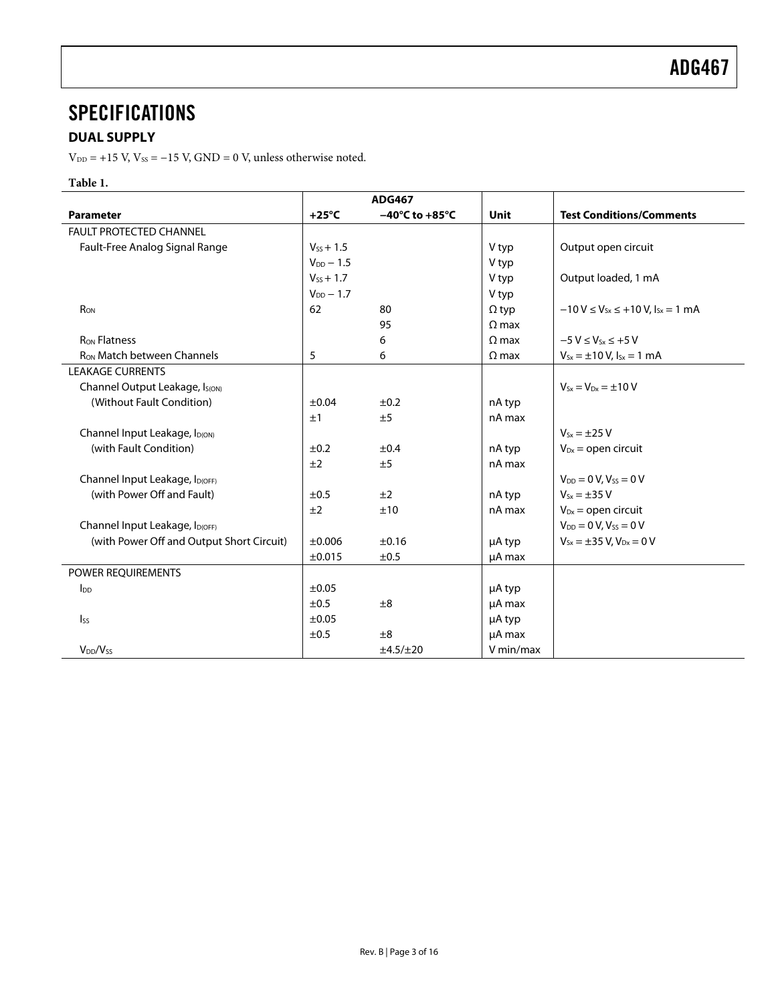### <span id="page-2-0"></span>**SPECIFICATIONS**

### **DUAL SUPPLY**

 $\rm V_{\rm DD}$  = +15 V,  $\rm V_{\rm SS}$  = –15 V, GND = 0 V, unless otherwise noted.

#### **Table 1.**

|                                            | <b>ADG467</b>  |                                    |              |                                                |
|--------------------------------------------|----------------|------------------------------------|--------------|------------------------------------------------|
| <b>Parameter</b>                           | $+25^{\circ}C$ | $-40^{\circ}$ C to $+85^{\circ}$ C | <b>Unit</b>  | <b>Test Conditions/Comments</b>                |
| <b>FAULT PROTECTED CHANNEL</b>             |                |                                    |              |                                                |
| Fault-Free Analog Signal Range             | $V_{SS} + 1.5$ |                                    | V typ        | Output open circuit                            |
|                                            | $V_{DD} - 1.5$ |                                    | V typ        |                                                |
|                                            | $V_{SS}$ + 1.7 |                                    | V typ        | Output loaded, 1 mA                            |
|                                            | $V_{DD}$ - 1.7 |                                    | V typ        |                                                |
| RON                                        | 62             | 80                                 | $\Omega$ typ | $-10 V \le V_{Sx} \le +10 V$ , $I_{Sx} = 1 mA$ |
|                                            |                | 95                                 | $\Omega$ max |                                                |
| <b>RON Flatness</b>                        |                | 6                                  | $\Omega$ max | $-5 V \le V_{s_x} \le +5 V$                    |
| R <sub>ON</sub> Match between Channels     | 5              | 6                                  | $\Omega$ max | $V_{Sx} = \pm 10 V$ , $I_{Sx} = 1$ mA          |
| <b>LEAKAGE CURRENTS</b>                    |                |                                    |              |                                                |
| Channel Output Leakage, I <sub>S(ON)</sub> |                |                                    |              | $V_{Sx} = V_{Dx} = \pm 10 V$                   |
| (Without Fault Condition)                  | $\pm 0.04$     | ±0.2                               | nA typ       |                                                |
|                                            | ±1             | ±5                                 | nA max       |                                                |
| Channel Input Leakage, I <sub>D(ON)</sub>  |                |                                    |              | $V_{5x} = \pm 25 V$                            |
| (with Fault Condition)                     | ±0.2           | ±0.4                               | nA typ       | $V_{Dx}$ = open circuit                        |
|                                            | ±2             | ±5                                 | nA max       |                                                |
| Channel Input Leakage, ID(OFF)             |                |                                    |              | $V_{DD} = 0 V, V_{SS} = 0 V$                   |
| (with Power Off and Fault)                 | ±0.5           | ±2                                 | nA typ       | $V_{Sx} = \pm 35 V$                            |
|                                            | ±2             | ±10                                | nA max       | $V_{Dx}$ = open circuit                        |
| Channel Input Leakage, ID(OFF)             |                |                                    |              | $V_{DD} = 0 V, V_{SS} = 0 V$                   |
| (with Power Off and Output Short Circuit)  | ±0.006         | ±0.16                              | µA typ       | $V_{Sx} = \pm 35$ V, $V_{Dx} = 0$ V            |
|                                            | ±0.015         | ±0.5                               | µA max       |                                                |
| POWER REQUIREMENTS                         |                |                                    |              |                                                |
| $I_{DD}$                                   | ±0.05          |                                    | µA typ       |                                                |
|                                            | ±0.5           | ±8                                 | µA max       |                                                |
| $I_{SS}$                                   | ±0.05          |                                    | µA typ       |                                                |
|                                            | ±0.5           | ±8                                 | µA max       |                                                |
| $V_{DD}/V_{SS}$                            |                | ±4.5/±20                           | V min/max    |                                                |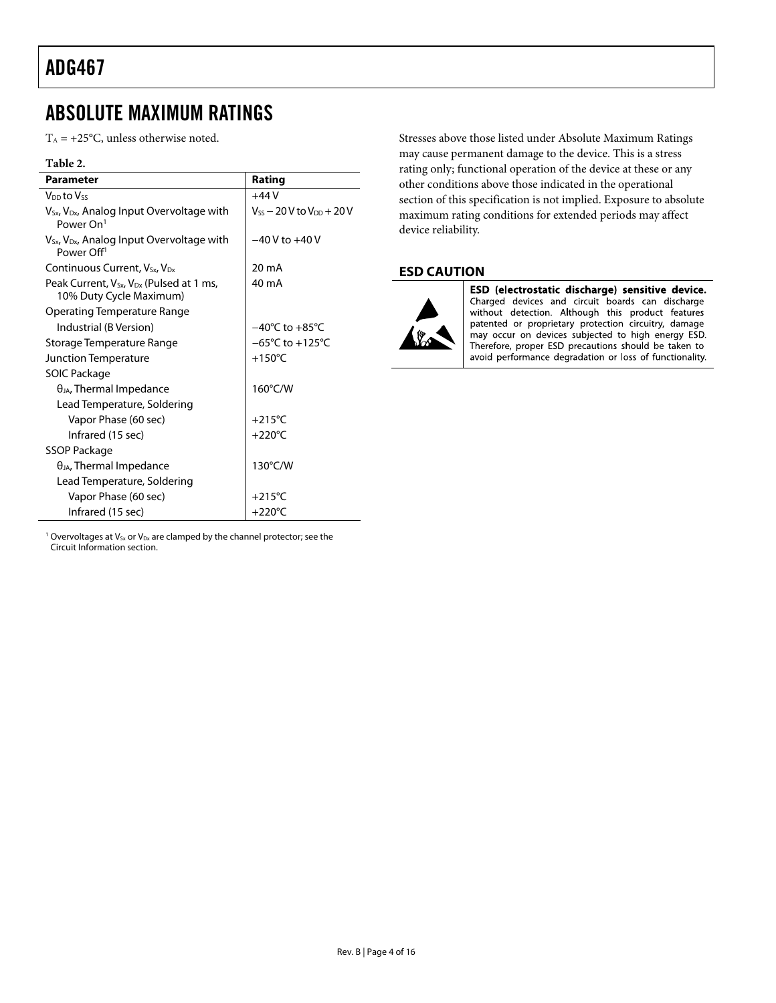### <span id="page-3-0"></span>ABSOLUTE MAXIMUM RATINGS

 $T_A = +25$ °C, unless otherwise noted.

#### **Table 2.**

| <b>Parameter</b>                                                                            | Rating                                 |
|---------------------------------------------------------------------------------------------|----------------------------------------|
| V <sub>DD</sub> to Vss                                                                      | +44 V                                  |
| $V_{Sx}$ , $V_{Dx}$ , Analog Input Overvoltage with<br>Power $On1$                          | $V_{SS}$ $-$ 20 V to $V_{DD}$ $+$ 20 V |
| V <sub>Sx</sub> , V <sub>Dx</sub> , Analog Input Overvoltage with<br>Power Off <sup>1</sup> | $-40V$ to $+40V$                       |
| Continuous Current, $V_{S_x}$ , $V_{D_x}$                                                   | 20 mA                                  |
| Peak Current, V <sub>Sx</sub> , V <sub>Dx</sub> (Pulsed at 1 ms,<br>10% Duty Cycle Maximum) | 40 mA                                  |
| Operating Temperature Range                                                                 |                                        |
| Industrial (B Version)                                                                      | $-40^{\circ}$ C to $+85^{\circ}$ C     |
| Storage Temperature Range                                                                   | $-65^{\circ}$ C to $+125^{\circ}$ C    |
| Junction Temperature                                                                        | $+150^{\circ}$ C                       |
| SOIC Package                                                                                |                                        |
| $\theta_{JA}$ , Thermal Impedance                                                           | 160°C/W                                |
| Lead Temperature, Soldering                                                                 |                                        |
| Vapor Phase (60 sec)                                                                        | $+215^{\circ}$ C                       |
| Infrared (15 sec)                                                                           | $+220^{\circ}$ C                       |
| SSOP Package                                                                                |                                        |
| $\theta_{JA}$ , Thermal Impedance                                                           | 130°C/W                                |
| Lead Temperature, Soldering                                                                 |                                        |
| Vapor Phase (60 sec)                                                                        | $+215^{\circ}$ C                       |
| Infrared (15 sec)                                                                           | $+220^{\circ}$ C                       |

Stresses above those listed under Absolute Maximum Ratings may cause permanent damage to the device. This is a stress rating only; functional operation of the device at these or any other conditions above those indicated in the operational section of this specification is not implied. Exposure to absolute maximum rating conditions for extended periods may affect device reliability.

#### **ESD CAUTION**



ESD (electrostatic discharge) sensitive device. Charged devices and circuit boards can discharge<br>without detection. Although this product features patented or proprietary protection circuitry, damage may occur on devices subjected to high energy ESD. Therefore, proper ESD precautions should be taken to avoid performance degradation or loss of functionality.

<sup>1</sup> Overvoltages at  $V_{Sx}$  or  $V_{Dx}$  are clamped by the channel protector; see the [Circuit Information](#page-8-0) section.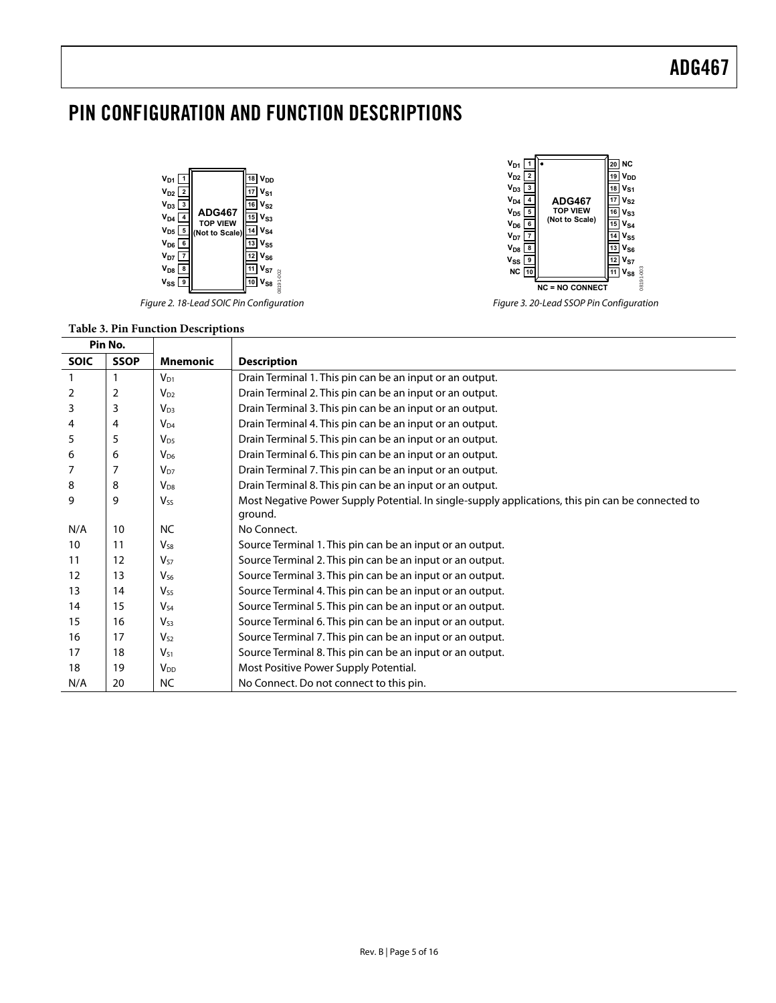## <span id="page-4-0"></span>PIN CONFIGURATION AND FUNCTION DESCRIPTIONS



Figure 2. 18-Lead SOIC Pin Configuration



Figure 3. 20-Lead SSOP Pin Configuration

| Pin No.     |             |                        |                                                                                                              |
|-------------|-------------|------------------------|--------------------------------------------------------------------------------------------------------------|
| <b>SOIC</b> | <b>SSOP</b> | <b>Mnemonic</b>        | <b>Description</b>                                                                                           |
|             |             | $V_{D1}$               | Drain Terminal 1. This pin can be an input or an output.                                                     |
| 2           | 2           | $V_{D2}$               | Drain Terminal 2. This pin can be an input or an output.                                                     |
| 3           | 3           | $V_{D3}$               | Drain Terminal 3. This pin can be an input or an output.                                                     |
| 4           | 4           | $V_{D4}$               | Drain Terminal 4. This pin can be an input or an output.                                                     |
| 5           | 5           | $V_{D5}$               | Drain Terminal 5. This pin can be an input or an output.                                                     |
| 6           | 6           | $V_{D6}$               | Drain Terminal 6. This pin can be an input or an output.                                                     |
|             | 7           | $V_{D7}$               | Drain Terminal 7. This pin can be an input or an output.                                                     |
| 8           | 8           | $V_{D8}$               | Drain Terminal 8. This pin can be an input or an output.                                                     |
| 9           | 9           | Vss                    | Most Negative Power Supply Potential. In single-supply applications, this pin can be connected to<br>ground. |
| N/A         | 10          | NC.                    | No Connect.                                                                                                  |
| 10          | 11          | V <sub>S8</sub>        | Source Terminal 1. This pin can be an input or an output.                                                    |
| 11          | 12          | $V_{57}$               | Source Terminal 2. This pin can be an input or an output.                                                    |
| 12          | 13          | $V_{56}$               | Source Terminal 3. This pin can be an input or an output.                                                    |
| 13          | 14          | $V_{S5}$               | Source Terminal 4. This pin can be an input or an output.                                                    |
| 14          | 15          | $V_{54}$               | Source Terminal 5. This pin can be an input or an output.                                                    |
| 15          | 16          | V <sub>S3</sub>        | Source Terminal 6. This pin can be an input or an output.                                                    |
| 16          | 17          | $V_{S2}$               | Source Terminal 7. This pin can be an input or an output.                                                    |
| 17          | 18          | $V_{51}$               | Source Terminal 8. This pin can be an input or an output.                                                    |
| 18          | 19          | <b>V</b> <sub>DD</sub> | Most Positive Power Supply Potential.                                                                        |
| N/A         | 20          | NC                     | No Connect. Do not connect to this pin.                                                                      |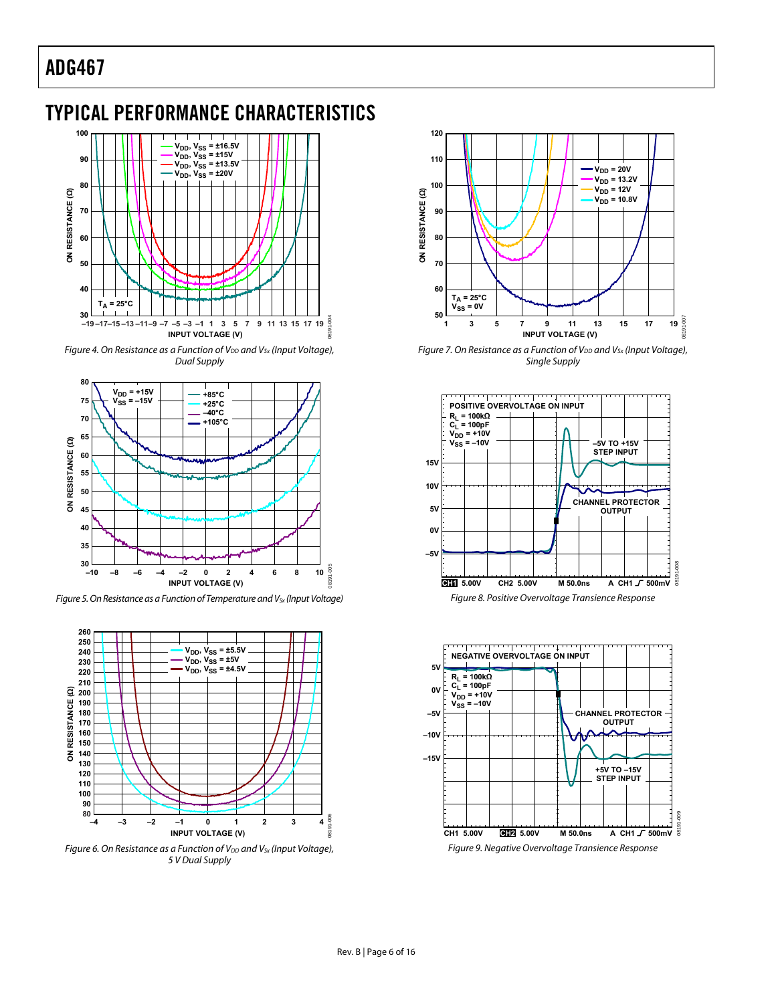# <span id="page-5-1"></span><span id="page-5-0"></span>TYPICAL PERFORMANCE CHARACTERISTICS



Figure 4. On Resistance as a Function of  $V_{DD}$  and  $V_{Sx}$  (Input Voltage), Dual Supply



Figure 5. On Resistance as a Function of Temperature and  $V_{Sx}$  (Input Voltage)



Figure 6. On Resistance as a Function of  $V_{DD}$  and  $V_{Sx}$  (Input Voltage), 5 V Dual Supply



Figure 7. On Resistance as a Function of  $V_{DD}$  and  $V_{Sx}$  (Input Voltage), Single Supply





Figure 9. Negative Overvoltage Transience Response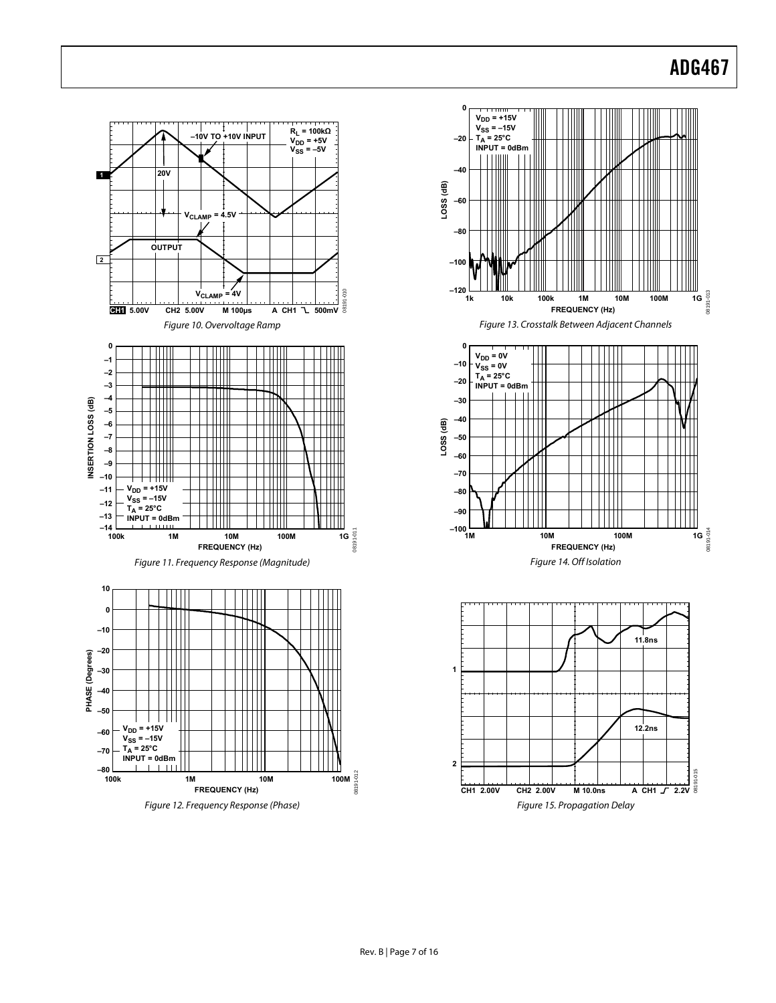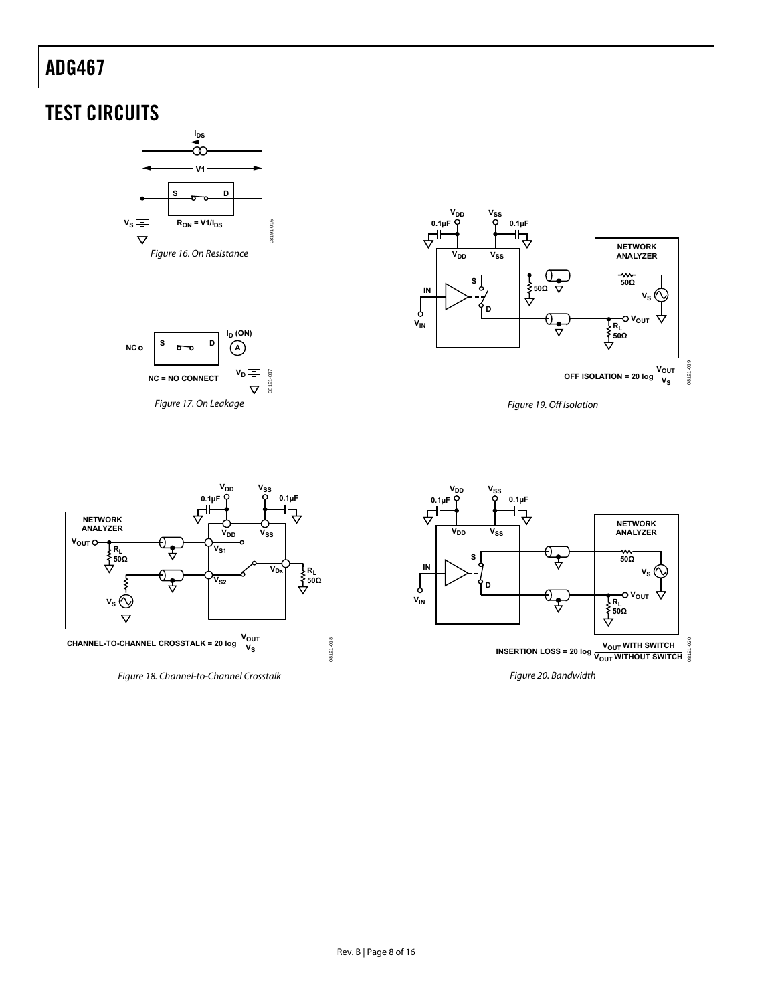# <span id="page-7-0"></span>TEST CIRCUITS







Figure 19. Off Isolation





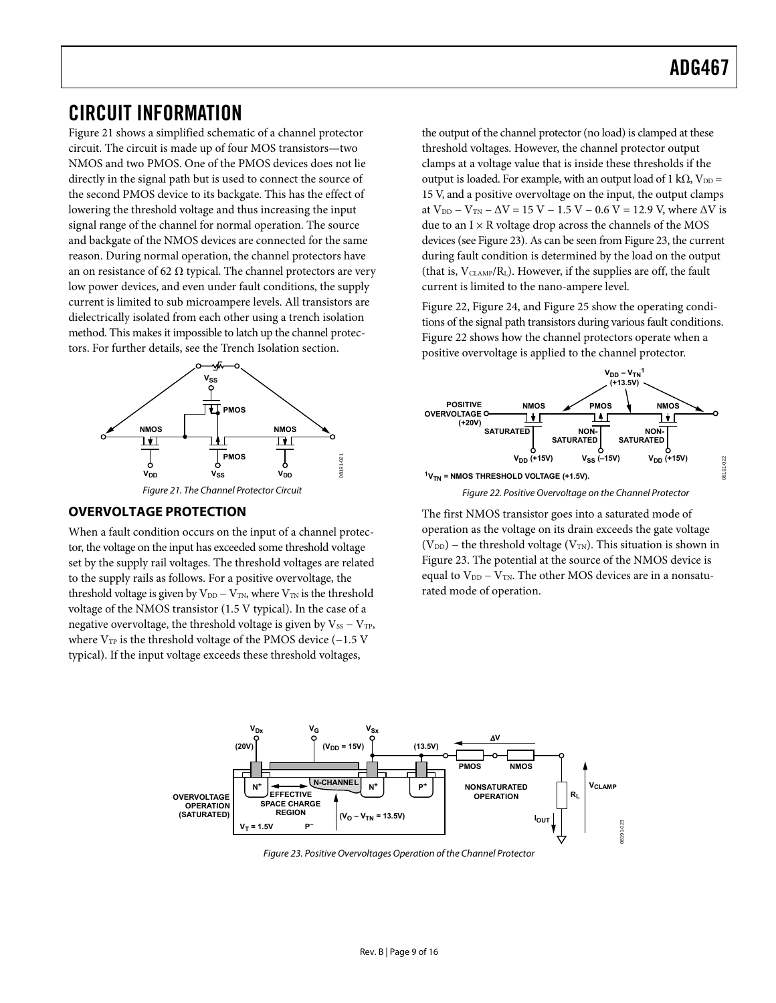### <span id="page-8-1"></span><span id="page-8-0"></span>CIRCUIT INFORMATION

[Figure 21](#page-8-2) shows a simplified schematic of a channel protector circuit. The circuit is made up of four MOS transistors—two NMOS and two PMOS. One of the PMOS devices does not lie directly in the signal path but is used to connect the source of the second PMOS device to its backgate. This has the effect of lowering the threshold voltage and thus increasing the input signal range of the channel for normal operation. The source and backgate of the NMOS devices are connected for the same reason. During normal operation, the channel protectors have an on resistance of 62  $\Omega$  typical. The channel protectors are very low power devices, and even under fault conditions, the supply current is limited to sub microampere levels. All transistors are dielectrically isolated from each other using a trench isolation method. This makes it impossible to latch up the channel protectors. For further details, see the [Trench Isolation](#page-10-1) section.



#### Figure 21. The Channel Protector Circuit

#### <span id="page-8-4"></span><span id="page-8-2"></span>**OVERVOLTAGE PROTECTION**

When a fault condition occurs on the input of a channel protector, the voltage on the input has exceeded some threshold voltage set by the supply rail voltages. The threshold voltages are related to the supply rails as follows. For a positive overvoltage, the threshold voltage is given by  $V_{DD} - V_{TN}$ , where  $V_{TN}$  is the threshold voltage of the NMOS transistor (1.5 V typical). In the case of a negative overvoltage, the threshold voltage is given by  $V_{SS} - V_{TP}$ , where  $V_{TP}$  is the threshold voltage of the PMOS device (−1.5 V typical). If the input voltage exceeds these threshold voltages,

the output of the channel protector (no load) is clamped at these threshold voltages. However, the channel protector output clamps at a voltage value that is inside these thresholds if the output is loaded. For example, with an output load of 1 kΩ,  $V_{DD} =$ 15 V, and a positive overvoltage on the input, the output clamps at  $V_{DD} - V_{TN} - \Delta V = 15 V - 1.5 V - 0.6 V = 12.9 V$ , where  $\Delta V$  is due to an  $I \times R$  voltage drop across the channels of the MOS devices (see [Figure 23](#page-8-3)). As can be seen from [Figure 23,](#page-8-3) the current during fault condition is determined by the load on the output (that is,  $V_{CLAMP}/R_L$ ). However, if the supplies are off, the fault current is limited to the nano-ampere level.

[Figure 22](#page-8-4), [Figure 24](#page-9-0), and [Figure 25](#page-9-1) show the operating conditions of the signal path transistors during various fault conditions. [Figure 22](#page-8-4) shows how the channel protectors operate when a positive overvoltage is applied to the channel protector.



Figure 22. Positive Overvoltage on the Channel Protector

The first NMOS transistor goes into a saturated mode of operation as the voltage on its drain exceeds the gate voltage (V<sub>DD</sub>) – the threshold voltage (V<sub>TN</sub>). This situation is shown in [Figure 23](#page-8-3). The potential at the source of the NMOS device is equal to  $V_{DD} - V_{TN}$ . The other MOS devices are in a nonsaturated mode of operation.

<span id="page-8-3"></span>

Figure 23. Positive Overvoltages Operation of the Channel Protector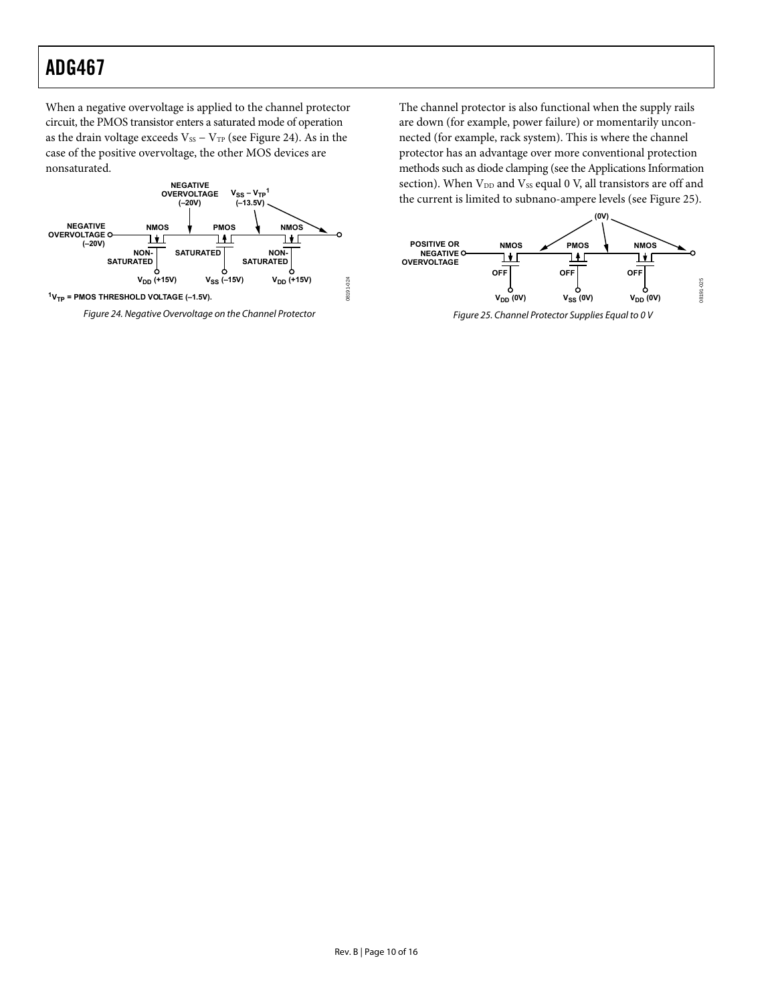When a negative overvoltage is applied to the channel protector circuit, the PMOS transistor enters a saturated mode of operation as the drain voltage exceeds  $V_{SS} - V_{TP}$  (see [Figure 24](#page-9-0)). As in the case of the positive overvoltage, the other MOS devices are nonsaturated.



<span id="page-9-1"></span><span id="page-9-0"></span>Figure 24. Negative Overvoltage on the Channel Protector

The channel protector is also functional when the supply rails are down (for example, power failure) or momentarily unconnected (for example, rack system). This is where the channel protector has an advantage over more conventional protection methods such as diode clamping (see the [Applications Information](#page-11-0) section). When  $V_{DD}$  and  $V_{SS}$  equal 0 V, all transistors are off and the current is limited to subnano-ampere levels (see [Figure 25](#page-9-1)).



Figure 25. Channel Protector Supplies Equal to 0 V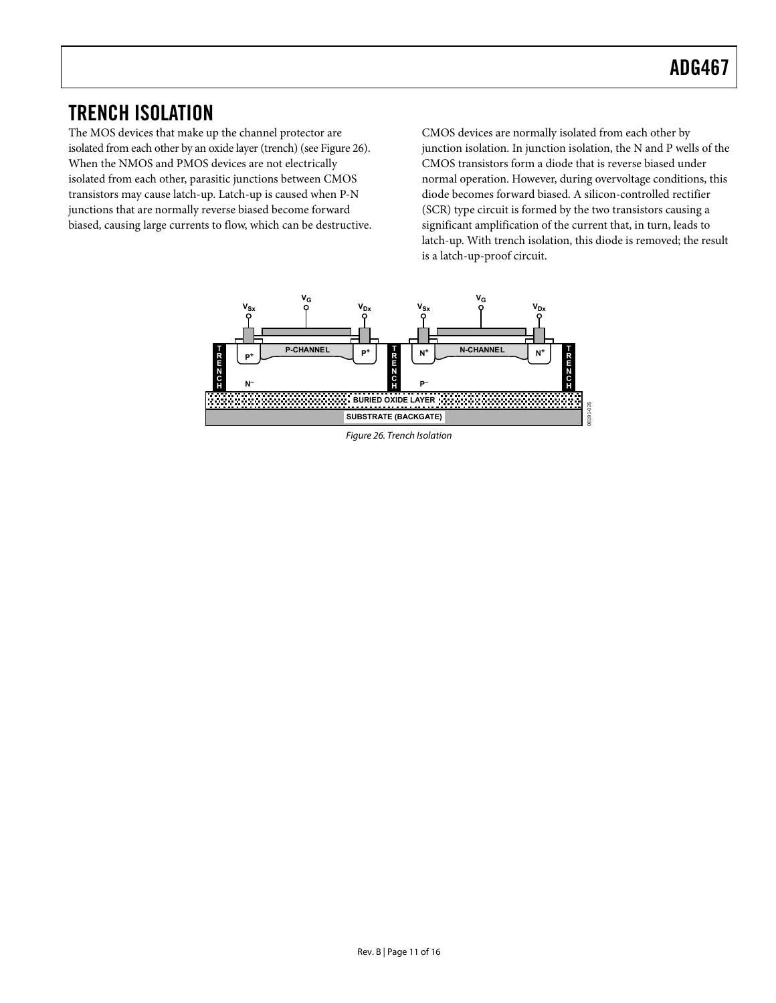### <span id="page-10-1"></span><span id="page-10-0"></span>TRENCH ISOLATION

The MOS devices that make up the channel protector are isolated from each other by an oxide layer (trench) (see [Figure 26\)](#page-10-2). When the NMOS and PMOS devices are not electrically isolated from each other, parasitic junctions between CMOS transistors may cause latch-up. Latch-up is caused when P-N junctions that are normally reverse biased become forward biased, causing large currents to flow, which can be destructive.

CMOS devices are normally isolated from each other by junction isolation. In junction isolation, the N and P wells of the CMOS transistors form a diode that is reverse biased under normal operation. However, during overvoltage conditions, this diode becomes forward biased. A silicon-controlled rectifier (SCR) type circuit is formed by the two transistors causing a significant amplification of the current that, in turn, leads to latch-up. With trench isolation, this diode is removed; the result is a latch-up-proof circuit.

<span id="page-10-2"></span>

Figure 26. Trench Isolation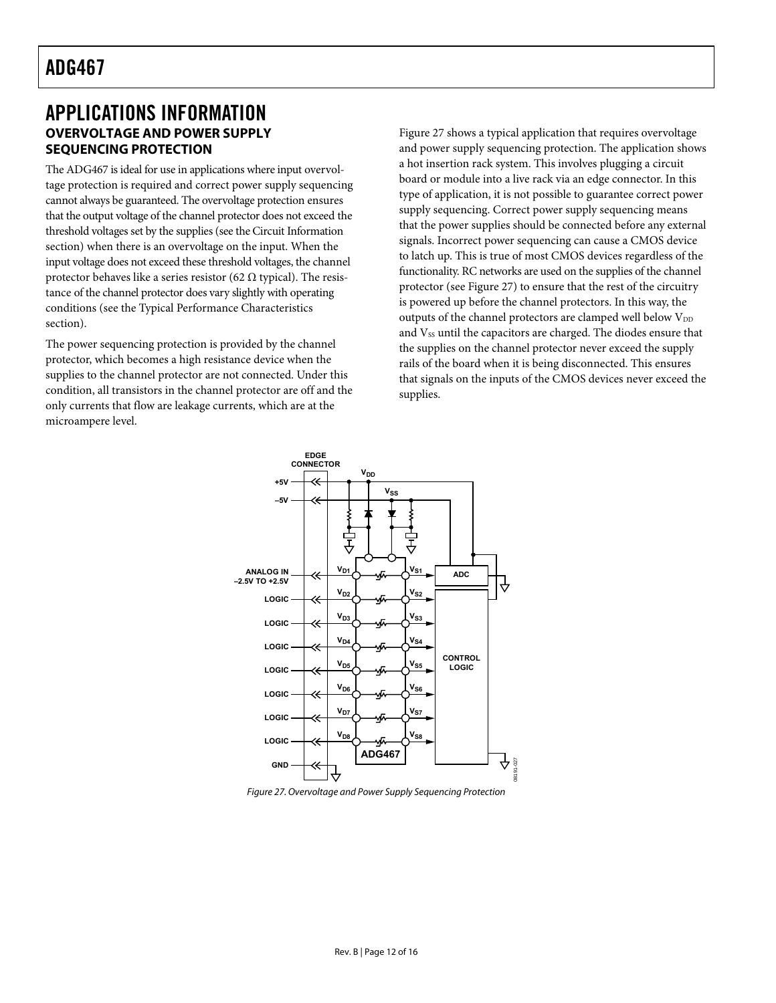### <span id="page-11-1"></span><span id="page-11-0"></span>APPLICATIONS INFORMATION **OVERVOLTAGE AND POWER SUPPLY SEQUENCING PROTECTION**

The ADG467 is ideal for use in applications where input overvoltage protection is required and correct power supply sequencing cannot always be guaranteed. The overvoltage protection ensures that the output voltage of the channel protector does not exceed the threshold voltages set by the supplies (see the [Circuit Information](#page-8-0) section) when there is an overvoltage on the input. When the input voltage does not exceed these threshold voltages, the channel protector behaves like a series resistor (62  $\Omega$  typical). The resistance of the channel protector does vary slightly with operating conditions (see the [Typical Performance Characteristics](#page-5-1) section).

The power sequencing protection is provided by the channel protector, which becomes a high resistance device when the supplies to the channel protector are not connected. Under this condition, all transistors in the channel protector are off and the only currents that flow are leakage currents, which are at the microampere level.

[Figure 27](#page-11-2) shows a typical application that requires overvoltage and power supply sequencing protection. The application shows a hot insertion rack system. This involves plugging a circuit board or module into a live rack via an edge connector. In this type of application, it is not possible to guarantee correct power supply sequencing. Correct power supply sequencing means that the power supplies should be connected before any external signals. Incorrect power sequencing can cause a CMOS device to latch up. This is true of most CMOS devices regardless of the functionality. RC networks are used on the supplies of the channel protector (see [Figure 27\)](#page-11-2) to ensure that the rest of the circuitry is powered up before the channel protectors. In this way, the outputs of the channel protectors are clamped well below  $V_{DD}$ and Vss until the capacitors are charged. The diodes ensure that the supplies on the channel protector never exceed the supply rails of the board when it is being disconnected. This ensures that signals on the inputs of the CMOS devices never exceed the supplies.



<span id="page-11-2"></span>Figure 27. Overvoltage and Power Supply Sequencing Protection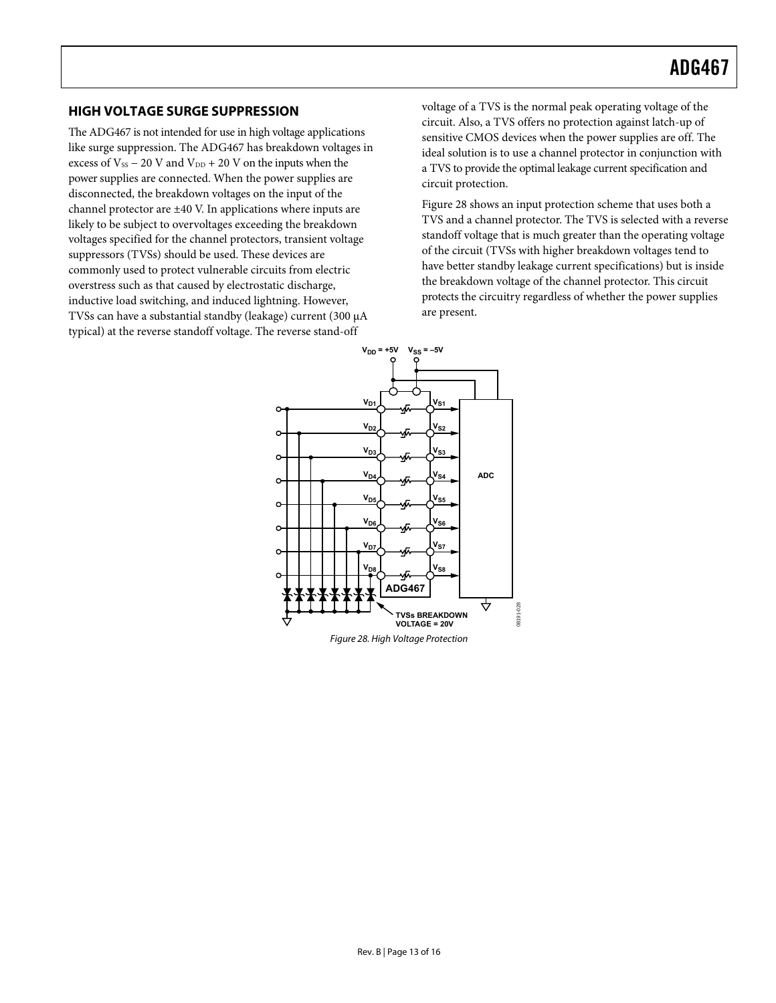#### <span id="page-12-0"></span>**HIGH VOLTAGE SURGE SUPPRESSION**

The ADG467 is not intended for use in high voltage applications like surge suppression. The ADG467 has breakdown voltages in excess of  $V_{SS}$  – 20 V and  $V_{DD}$  + 20 V on the inputs when the power supplies are connected. When the power supplies are disconnected, the breakdown voltages on the input of the channel protector are ±40 V. In applications where inputs are likely to be subject to overvoltages exceeding the breakdown voltages specified for the channel protectors, transient voltage suppressors (TVSs) should be used. These devices are commonly used to protect vulnerable circuits from electric overstress such as that caused by electrostatic discharge, inductive load switching, and induced lightning. However, TVSs can have a substantial standby (leakage) current (300 μA typical) at the reverse standoff voltage. The reverse stand-off

voltage of a TVS is the normal peak operating voltage of the circuit. Also, a TVS offers no protection against latch-up of sensitive CMOS devices when the power supplies are off. The ideal solution is to use a channel protector in conjunction with a TVS to provide the optimal leakage current specification and circuit protection.

[Figure 28](#page-12-1) shows an input protection scheme that uses both a TVS and a channel protector. The TVS is selected with a reverse standoff voltage that is much greater than the operating voltage of the circuit (TVSs with higher breakdown voltages tend to have better standby leakage current specifications) but is inside the breakdown voltage of the channel protector. This circuit protects the circuitry regardless of whether the power supplies are present.

<span id="page-12-1"></span>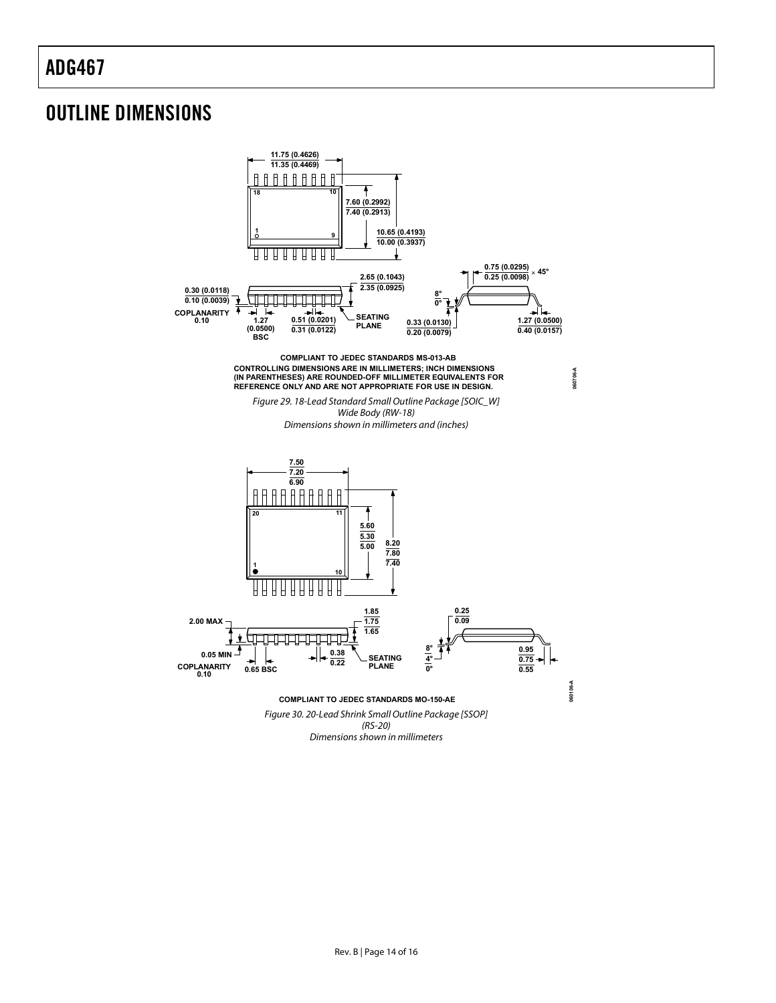### <span id="page-13-0"></span>OUTLINE DIMENSIONS

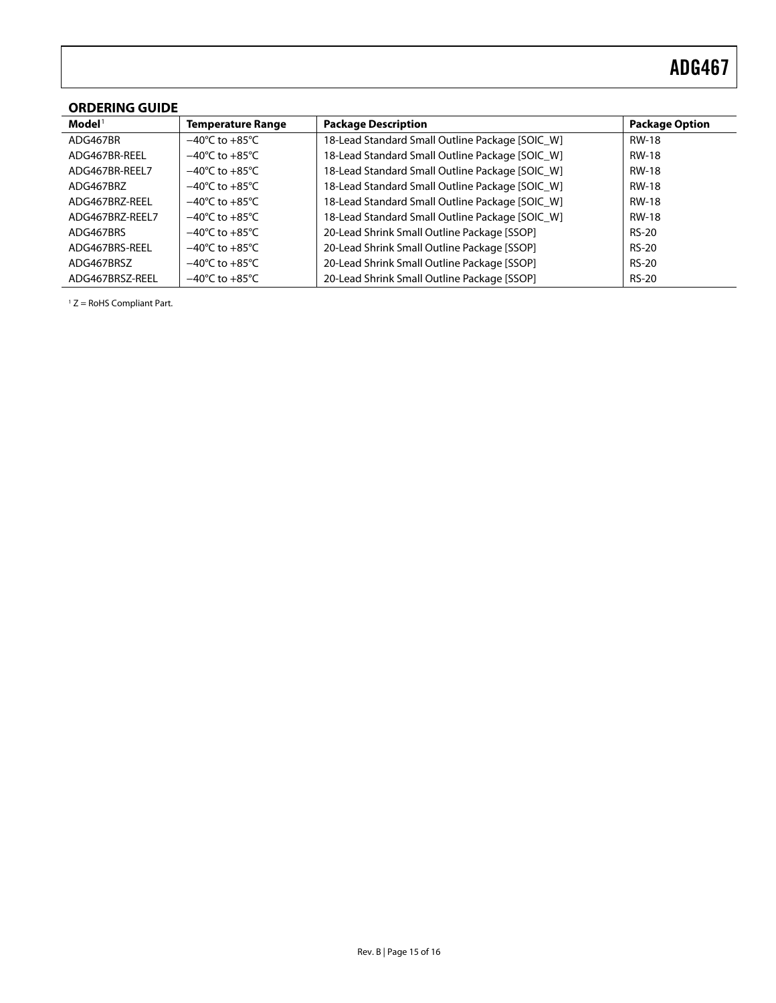### <span id="page-14-0"></span>**ORDERING GUIDE**

| $\mathbf{Model}^1$ | <b>Temperature Range</b>           | <b>Package Description</b>                      | <b>Package Option</b> |
|--------------------|------------------------------------|-------------------------------------------------|-----------------------|
| ADG467BR           | $-40^{\circ}$ C to $+85^{\circ}$ C | 18-Lead Standard Small Outline Package [SOIC W] | <b>RW-18</b>          |
| ADG467BR-REEL      | $-40^{\circ}$ C to $+85^{\circ}$ C | 18-Lead Standard Small Outline Package [SOIC W] | <b>RW-18</b>          |
| ADG467BR-REEL7     | $-40^{\circ}$ C to $+85^{\circ}$ C | 18-Lead Standard Small Outline Package [SOIC W] | <b>RW-18</b>          |
| ADG467BRZ          | $-40^{\circ}$ C to $+85^{\circ}$ C | 18-Lead Standard Small Outline Package [SOIC_W] | <b>RW-18</b>          |
| ADG467BRZ-REEL     | $-40^{\circ}$ C to $+85^{\circ}$ C | 18-Lead Standard Small Outline Package [SOIC W] | <b>RW-18</b>          |
| ADG467BRZ-REEL7    | $-40^{\circ}$ C to $+85^{\circ}$ C | 18-Lead Standard Small Outline Package [SOIC W] | <b>RW-18</b>          |
| ADG467BRS          | $-40^{\circ}$ C to $+85^{\circ}$ C | 20-Lead Shrink Small Outline Package [SSOP]     | <b>RS-20</b>          |
| ADG467BRS-REEL     | $-40^{\circ}$ C to $+85^{\circ}$ C | 20-Lead Shrink Small Outline Package [SSOP]     | $RS-20$               |
| ADG467BRSZ         | $-40^{\circ}$ C to $+85^{\circ}$ C | 20-Lead Shrink Small Outline Package [SSOP]     | <b>RS-20</b>          |
| ADG467BRSZ-REEL    | $-40^{\circ}$ C to $+85^{\circ}$ C | 20-Lead Shrink Small Outline Package [SSOP]     | <b>RS-20</b>          |

 $1 Z =$  RoHS Compliant Part.